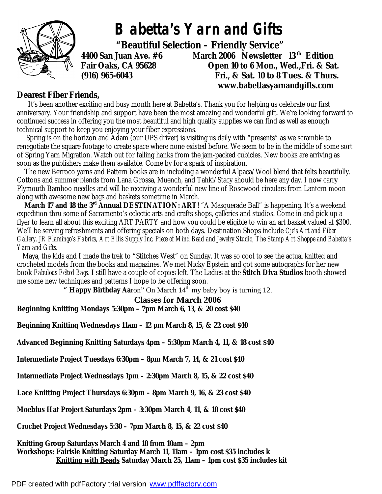

## *Babetta's Yarn and Gifts*

 **"Beautiful Selection – Friendly Service"** 

**4400 San Juan Ave. #6 March 2006 Newsletter 13 th Edition Fair Oaks, CA 95628 Open 10 to 6 Mon., Wed.,Fri. & Sat. (916) 965-6043 Fri., & Sat. 10 to 8 Tues. & Thurs. [www.babettasyarnandgifts.com](http://www.babettasyarnandgifts.com)**

## **Dearest Fiber Friends,**

 It's been another exciting and busy month here at Babetta's. Thank you for helping us celebrate our first anniversary. Your friendship and support have been the most amazing and wonderful gift. We're looking forward to continued success in offering you the most beautiful and high quality supplies we can find as well as enough technical support to keep you enjoying your fiber expressions.

Spring is on the horizon and Adam (our UPS driver) is visiting us daily with "presents" as we scramble to renegotiate the square footage to create space where none existed before. We seem to be in the middle of some sort of Spring Yarn Migration. Watch out for falling hanks from the jam-packed cubicles. New books are arriving as soon as the publishers make them available. Come by for a spark of inspiration.

 The new Berroco yarns and Pattern books are in including a wonderful Alpaca/Wool blend that felts beautifully. Cottons and summer blends from Lana Grossa, Muench, and Tahki/Stacy should be here any day. I now carry Plymouth Bamboo needles and will be receiving a wonderful new line of Rosewood circulars from Lantern moon along with awesome new bags and baskets sometime in March.

 **March 17 and 18 the 3rd Annual DESTINATION: ART!** "A Masquerade Ball" is happening. It's a weekend expedition thru some of Sacramento's eclectic arts and crafts shops, galleries and studios. Come in and pick up a flyer to learn all about this exciting ART PARTY and how you could be eligible to win an art basket valued at \$300. We'll be serving refreshments and offering specials on both days. Destination Shops include *Cje's Art and Fiber Gallery, JR Flamingo's Fabrics, Art Ellis Supply Inc. Piece of Mind Bead and Jewelry Studio, The Stamp Art Shoppe and Babetta's Yarn and Gifts.* 

 Maya, the kids and I made the trek to "Stitches West" on Sunday. It was so cool to see the actual knitted and crocheted models from the books and magazines. We met Nicky Epstein and got some autographs for her new book *Fabulous Felted Bags*. I still have a couple of copies left. The Ladies at the **Stitch Diva Studios** booth showed me some new techniques and patterns I hope to be offering soon.

" Happy Birthday Aaron" On March  $14<sup>th</sup>$  my baby boy is turning 12.

## **Classes for March 2006**

**Beginning Knitting Mondays 5:30pm – 7pm March 6, 13, & 20 cost \$40** 

**Beginning Knitting Wednesdays 11am – 12 pm March 8, 15, & 22 cost \$40** 

**Advanced Beginning Knitting Saturdays 4pm – 5:30pm March 4, 11, & 18 cost \$40** 

**Intermediate Project Tuesdays 6:30pm – 8pm March 7, 14, & 21 cost \$40** 

**Intermediate Project Wednesdays 1pm – 2:30pm March 8, 15, & 22 cost \$40** 

**Lace Knitting Project Thursdays 6:30pm – 8pm March 9, 16, & 23 cost \$40** 

**Moebius Hat Project Saturdays 2pm – 3:30pm March 4, 11, & 18 cost \$40** 

**Crochet Project Wednesdays 5:30 – 7pm March 8, 15, & 22 cost \$40** 

**Knitting Group Saturdays March 4 and 18 from 10am – 2pm Workshops: Fairisle Knitting Saturday March 11, 11am – 1pm cost \$35 includes k Knitting with Beads Saturday March 25, 11am – 1pm cost \$35 includes kit**